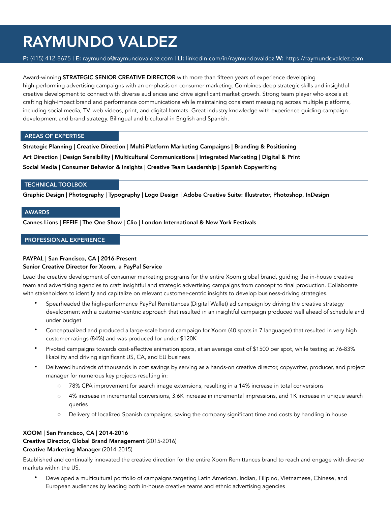# RAYMUNDO VALDEZ

P: (415) 412-8675 | E: raymundo@raymundovaldez.com | LI: linkedin.com/in/raymundovaldez W: https://raymundovaldez.com

Award-winning **STRATEGIC SENIOR CREATIVE DIRECTOR** with more than fifteen years of experience developing high-performing advertising campaigns with an emphasis on consumer marketing. Combines deep strategic skills and insightful creative development to connect with diverse audiences and drive significant market growth. Strong team player who excels at crafting high-impact brand and performance communications while maintaining consistent messaging across multiple platforms, including social media, TV, web videos, print, and digital formats. Great industry knowledge with experience guiding campaign development and brand strategy. Bilingual and bicultural in English and Spanish.

### AREAS OF EXPERTISE

Strategic Planning | Creative Direction | Multi-Platform Marketing Campaigns | Branding & Positioning Art Direction | Design Sensibility | Multicultural Communications | Integrated Marketing | Digital & Print Social Media | Consumer Behavior & Insights | Creative Team Leadership | Spanish Copywriting

### TECHNICAL TOOLBOX

Graphic Design | Photography | Typography | Logo Design | Adobe Creative Suite: Illustrator, Photoshop, InDesign

### AWARDS

Cannes Lions | EFFIE | The One Show | Clio | London International & New York Festivals

## PROFESSIONAL EXPERIENCE

# PAYPAL | San Francisco, CA | 2016-Present

### Senior Creative Director for Xoom, a PayPal Service

Lead the creative development of consumer marketing programs for the entire Xoom global brand, guiding the in-house creative team and advertising agencies to craft insightful and strategic advertising campaigns from concept to final production. Collaborate with stakeholders to identify and capitalize on relevant customer-centric insights to develop business-driving strategies.

- Spearheaded the high-performance PayPal Remittances (Digital Wallet) ad campaign by driving the creative strategy development with a customer-centric approach that resulted in an insightful campaign produced well ahead of schedule and under budget
- Conceptualized and produced a large-scale brand campaign for Xoom (40 spots in 7 languages) that resulted in very high customer ratings (84%) and was produced for under \$120K
- Pivoted campaigns towards cost-effective animation spots, at an average cost of \$1500 per spot, while testing at 76-83% likability and driving significant US, CA, and EU business
- Delivered hundreds of thousands in cost savings by serving as a hands-on creative director, copywriter, producer, and project manager for numerous key projects resulting in:
	- o 78% CPA improvement for search image extensions, resulting in a 14% increase in total conversions
	- o 4% increase in incremental conversions, 3.6K increase in incremental impressions, and 1K increase in unique search queries
	- o Delivery of localized Spanish campaigns, saving the company significant time and costs by handling in house

# XOOM | San Francisco, CA | 2014-2016 Creative Director, Global Brand Management (2015-2016) Creative Marketing Manager (2014-2015)

Established and continually innovated the creative direction for the entire Xoom Remittances brand to reach and engage with diverse markets within the US.

• Developed a multicultural portfolio of campaigns targeting Latin American, Indian, Filipino, Vietnamese, Chinese, and European audiences by leading both in-house creative teams and ethnic advertising agencies